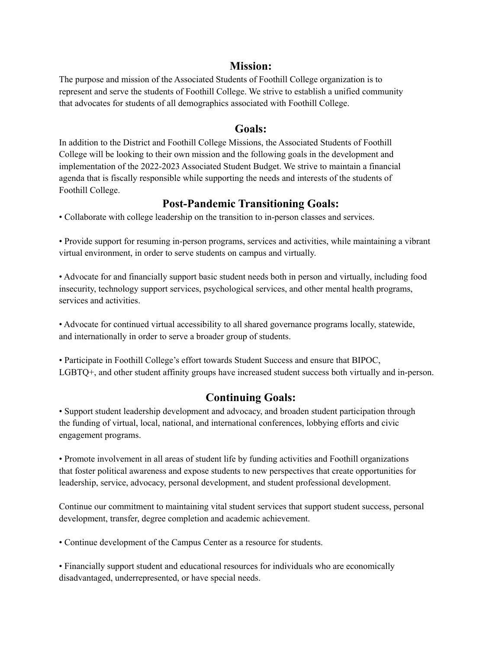## **Mission:**

The purpose and mission of the Associated Students of Foothill College organization is to represent and serve the students of Foothill College. We strive to establish a unified community that advocates for students of all demographics associated with Foothill College.

## **Goals:**

In addition to the District and Foothill College Missions, the Associated Students of Foothill College will be looking to their own mission and the following goals in the development and implementation of the 2022-2023 Associated Student Budget. We strive to maintain a financial agenda that is fiscally responsible while supporting the needs and interests of the students of Foothill College.

## **Post-Pandemic Transitioning Goals:**

• Collaborate with college leadership on the transition to in-person classes and services.

• Provide support for resuming in-person programs, services and activities, while maintaining a vibrant virtual environment, in order to serve students on campus and virtually.

• Advocate for and financially support basic student needs both in person and virtually, including food insecurity, technology support services, psychological services, and other mental health programs, services and activities.

• Advocate for continued virtual accessibility to all shared governance programs locally, statewide, and internationally in order to serve a broader group of students.

• Participate in Foothill College's effort towards Student Success and ensure that BIPOC, LGBTQ+, and other student affinity groups have increased student success both virtually and in-person.

## **Continuing Goals:**

• Support student leadership development and advocacy, and broaden student participation through the funding of virtual, local, national, and international conferences, lobbying efforts and civic engagement programs.

• Promote involvement in all areas of student life by funding activities and Foothill organizations that foster political awareness and expose students to new perspectives that create opportunities for leadership, service, advocacy, personal development, and student professional development.

Continue our commitment to maintaining vital student services that support student success, personal development, transfer, degree completion and academic achievement.

• Continue development of the Campus Center as a resource for students.

• Financially support student and educational resources for individuals who are economically disadvantaged, underrepresented, or have special needs.